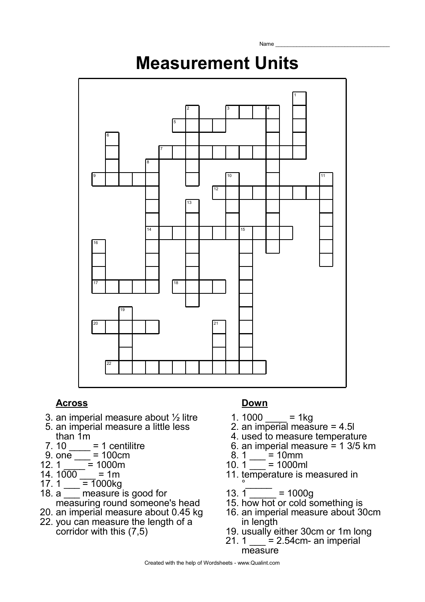# **Measurement Units**

Name



### **Across Down**

- 3. an imperial measure about ½ litre
- 5. an imperial measure a little less than 1m
- $7.10 \_ = 1$  centilitre
- 9. one  $= 100$  cm<br>12. 1 = 1000 m
- $\frac{1}{2}$  = 1000m
- 14. 1000
- 17. 1  $\overline{=} 1000kg$
- 18. a <u>measure</u> is good for measuring round someone's head
- 20. an imperial measure about 0.45 kg 22. you can measure the length of a
- corridor with this (7,5)

- 1. 1000  $=$  1kg
- 2. an imperial measure = 4.5l
- 4. used to measure temperature
- 6. an imperial measure = 1 3/5 km
- 8. 1  $\frac{ }{ }$  = 10mm
- 10. 1  $\frac{1}{10}$  = 1000ml
- 11. temperature is measured in
- °\_\_\_\_\_  $13.1$  = 1000g
- 15. how hot or cold something is
- 16. an imperial measure about 30cm in length
- 19. usually either 30cm or 1m long
- 21. 1  $\qquad = 2.54$ cm- an imperial measure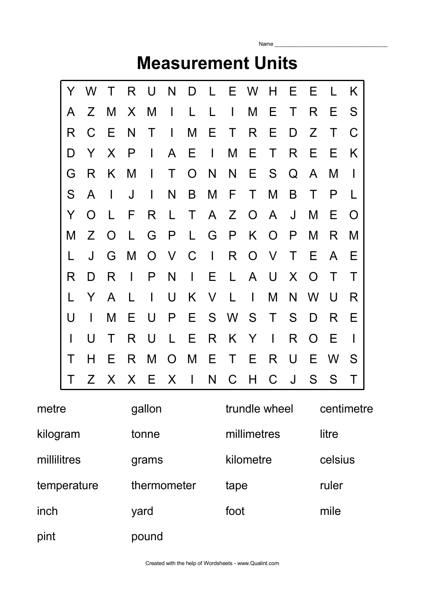|       |             |   |           |             |          |   |           |   |             | <b>Measurement Units</b> |           |   |           |                             |          |  |
|-------|-------------|---|-----------|-------------|----------|---|-----------|---|-------------|--------------------------|-----------|---|-----------|-----------------------------|----------|--|
|       | Y           | W |           | R           | U        | N | D         |   | Ε           | W                        | H         | Е | Е         |                             | K        |  |
|       | A           | Ζ | M         | X           | M        |   |           |   | I           | M                        | Е         | Τ | R         | Ε                           | S        |  |
|       | R           | С | Е         | N           | T        |   | M         | Е | T           | R                        | Е         | D | Z         | Τ                           | C        |  |
|       | D           | Y | X         | P           | I        | A | Ε         |   | M           | Е                        | Τ         | R | Е         | F                           | K        |  |
|       | G           | R | K         | M           |          | Τ | $\bigcap$ | N | N           | Е                        | S         | Q | A         | M                           |          |  |
|       | S           | A |           | J           | I        | N | B         | M | F           | T                        | M         | B |           | P                           |          |  |
|       | Y           | O |           | F           | R        | L | Τ         | A | Z           | $\Omega$                 | A         | J | M         | Е                           | $\Omega$ |  |
|       | M           | Ζ | $\bigcap$ |             | G        | P |           | G | P           | Κ                        | $\bigcap$ | P | M         | R                           | M        |  |
|       |             | J | G         | M           | $\Omega$ | V | C         |   | R           | O                        | V         | Т | Е         | A                           | Е        |  |
|       | R           | D | R         |             | P        | N | I         | F | L           | A                        | U         | X | ∩         | Т                           | Τ        |  |
|       |             | Y | A         |             |          | U | Κ         | V |             |                          | M         | N | W         | U                           | R        |  |
|       | U           |   | M         | F           | U        | P | Е         | S | W           | S                        | Τ         | S | D         | R                           | Е        |  |
|       |             | U | T         | R           | U        |   | Е         | R | Κ           | Y                        |           | R | $\bigcap$ | Е                           |          |  |
|       | $\mathsf T$ | H | Е         | R           | M        | O | M         | E |             | E                        | R         | U | Е         | W                           | S        |  |
|       | Т           |   |           |             |          |   |           |   |             |                          |           |   |           | Z X X E X I N C H C J S S T |          |  |
| metre |             |   |           |             | gallon   |   |           |   |             | trundle wheel            |           |   |           | centimetre                  |          |  |
|       | kilogram    |   |           | tonne       |          |   |           |   | millimetres |                          |           |   | litre     |                             |          |  |
|       | millilitres |   |           | grams       |          |   |           |   | kilometre   |                          |           |   | celsius   |                             |          |  |
|       | temperature |   |           | thermometer |          |   |           |   | tape        |                          |           |   | ruler     |                             |          |  |

Name $\_$ 

inch yard foot mile

pint pound

Created with the help of Wordsheets - www.Qualint.com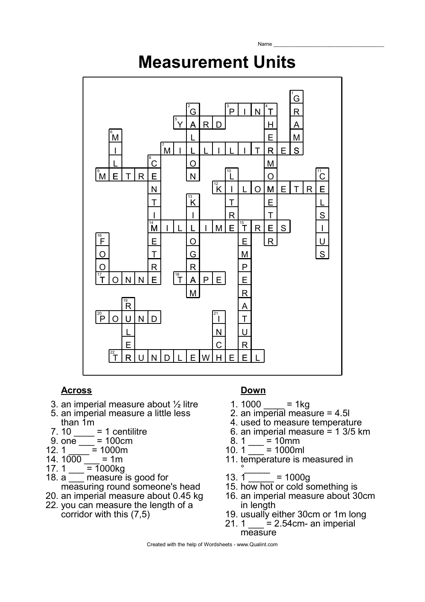## **Measurement Units**

Name



### **Across Down**

- 3. an imperial measure about ½ litre
- 5. an imperial measure a little less than 1m
- $7.10 = 1$  centilitre
- 9. one  $\frac{1}{\sqrt{2}}$  = 100cm
- 12. 1  $\frac{1}{\sqrt{1}}$  = 1000m
- 14.  $1000 1$  = 1m<br>17. 1 = 1000kg
- 17. 1  $\frac{1}{\frac{1}{100}} = 1000$ kg
- $\overline{\phantom{a}}$  measure is good for measuring round someone's head
- 20. an imperial measure about 0.45 kg
- 22. you can measure the length of a corridor with this (7,5)

- 1.  $1000 = 1$ kg
- 2. an imperial measure = 4.5l
- 4. used to measure temperature
- 6. an imperial measure = 1 3/5 km
- 8. 1  $\frac{1}{2}$  = 10mm
- 10. 1  $\frac{1}{\sqrt{2}}$  = 1000ml
- 11. temperature is measured in
- $\overline{\ }$ 13.  $1 - 1000q$
- 15. how hot or cold something is
- 16. an imperial measure about 30cm in length
- 19. usually either 30cm or 1m long
- $21.1$  = 2.54cm- an imperial measure

Created with the help of Wordsheets - www.Qualint.com